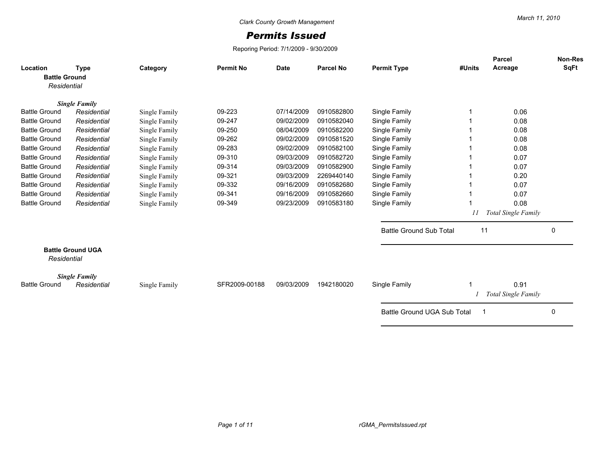## *Permits Issued*

Reporing Period: 7/1/2009 - 9/30/2009

| Location                            | <b>Type</b>              | Category      | <b>Permit No</b> | <b>Date</b> | <b>Parcel No</b> | <b>Permit Type</b>             | #Units | <b>Parcel</b><br>Acreage           | <b>Non-Res</b><br>SqFt |
|-------------------------------------|--------------------------|---------------|------------------|-------------|------------------|--------------------------------|--------|------------------------------------|------------------------|
| <b>Battle Ground</b><br>Residential |                          |               |                  |             |                  |                                |        |                                    |                        |
|                                     | <b>Single Family</b>     |               |                  |             |                  |                                |        |                                    |                        |
| <b>Battle Ground</b>                | Residential              | Single Family | 09-223           | 07/14/2009  | 0910582800       | Single Family                  |        | 0.06                               |                        |
| <b>Battle Ground</b>                | Residential              | Single Family | 09-247           | 09/02/2009  | 0910582040       | Single Family                  |        | 0.08                               |                        |
| <b>Battle Ground</b>                | Residential              | Single Family | 09-250           | 08/04/2009  | 0910582200       | Single Family                  |        | 0.08                               |                        |
| <b>Battle Ground</b>                | Residential              | Single Family | 09-262           | 09/02/2009  | 0910581520       | Single Family                  |        | 0.08                               |                        |
| <b>Battle Ground</b>                | Residential              | Single Family | 09-283           | 09/02/2009  | 0910582100       | Single Family                  |        | 0.08                               |                        |
| <b>Battle Ground</b>                | Residential              | Single Family | 09-310           | 09/03/2009  | 0910582720       | Single Family                  |        | 0.07                               |                        |
| <b>Battle Ground</b>                | Residential              | Single Family | 09-314           | 09/03/2009  | 0910582900       | Single Family                  |        | 0.07                               |                        |
| <b>Battle Ground</b>                | Residential              | Single Family | 09-321           | 09/03/2009  | 2269440140       | Single Family                  |        | 0.20                               |                        |
| <b>Battle Ground</b>                | Residential              | Single Family | 09-332           | 09/16/2009  | 0910582680       | Single Family                  |        | 0.07                               |                        |
| <b>Battle Ground</b>                | Residential              | Single Family | 09-341           | 09/16/2009  | 0910582660       | Single Family                  |        | 0.07                               |                        |
| <b>Battle Ground</b>                | Residential              | Single Family | 09-349           | 09/23/2009  | 0910583180       | Single Family                  |        | 0.08                               |                        |
|                                     |                          |               |                  |             |                  |                                |        | <b>Total Single Family</b>         |                        |
|                                     |                          |               |                  |             |                  | <b>Battle Ground Sub Total</b> | 11     |                                    | $\mathbf{0}$           |
| Residential                         | <b>Battle Ground UGA</b> |               |                  |             |                  |                                |        |                                    |                        |
|                                     | <b>Single Family</b>     |               |                  |             |                  |                                |        |                                    |                        |
| <b>Battle Ground</b>                | Residential              | Single Family | SFR2009-00188    | 09/03/2009  | 1942180020       | Single Family                  |        | 0.91<br><b>Total Single Family</b> |                        |
|                                     |                          |               |                  |             |                  | Battle Ground UGA Sub Total    | -1     |                                    | $\mathbf{0}$           |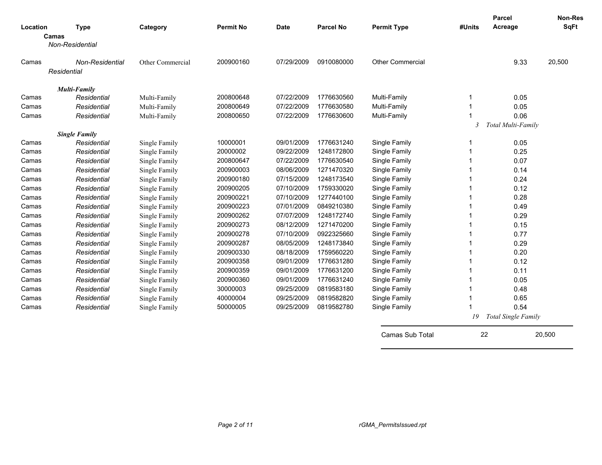| Location | <b>Type</b>              | Category         | <b>Permit No</b> | <b>Date</b> | <b>Parcel No</b> | <b>Permit Type</b>      | #Units                  | <b>Parcel</b><br>Acreage | <b>Non-Res</b><br><b>SqFt</b> |
|----------|--------------------------|------------------|------------------|-------------|------------------|-------------------------|-------------------------|--------------------------|-------------------------------|
|          | Camas<br>Non-Residential |                  |                  |             |                  |                         |                         |                          |                               |
|          |                          |                  |                  |             |                  |                         |                         |                          |                               |
| Camas    | Non-Residential          | Other Commercial | 200900160        | 07/29/2009  | 0910080000       | <b>Other Commercial</b> |                         | 9.33                     | 20,500                        |
|          | Residential              |                  |                  |             |                  |                         |                         |                          |                               |
|          | <b>Multi-Family</b>      |                  |                  |             |                  |                         |                         |                          |                               |
| Camas    | Residential              | Multi-Family     | 200800648        | 07/22/2009  | 1776630560       | Multi-Family            |                         | 0.05                     |                               |
| Camas    | Residential              | Multi-Family     | 200800649        | 07/22/2009  | 1776630580       | Multi-Family            |                         | 0.05                     |                               |
| Camas    | Residential              | Multi-Family     | 200800650        | 07/22/2009  | 1776630600       | Multi-Family            |                         | 0.06                     |                               |
|          |                          |                  |                  |             |                  |                         | $\overline{\mathbf{3}}$ | Total Multi-Family       |                               |
|          | <b>Single Family</b>     |                  |                  |             |                  |                         |                         |                          |                               |
| Camas    | Residential              | Single Family    | 10000001         | 09/01/2009  | 1776631240       | Single Family           |                         | 0.05                     |                               |
| Camas    | Residential              | Single Family    | 20000002         | 09/22/2009  | 1248172800       | Single Family           |                         | 0.25                     |                               |
| Camas    | Residential              | Single Family    | 200800647        | 07/22/2009  | 1776630540       | Single Family           |                         | 0.07                     |                               |
| Camas    | Residential              | Single Family    | 200900003        | 08/06/2009  | 1271470320       | Single Family           |                         | 0.14                     |                               |
| Camas    | Residential              | Single Family    | 200900180        | 07/15/2009  | 1248173540       | Single Family           |                         | 0.24                     |                               |
| Camas    | Residential              | Single Family    | 200900205        | 07/10/2009  | 1759330020       | Single Family           |                         | 0.12                     |                               |
| Camas    | Residential              | Single Family    | 200900221        | 07/10/2009  | 1277440100       | Single Family           |                         | 0.28                     |                               |
| Camas    | Residential              | Single Family    | 200900223        | 07/01/2009  | 0849210380       | Single Family           |                         | 0.49                     |                               |
| Camas    | Residential              | Single Family    | 200900262        | 07/07/2009  | 1248172740       | Single Family           |                         | 0.29                     |                               |
| Camas    | Residential              | Single Family    | 200900273        | 08/12/2009  | 1271470200       | Single Family           |                         | 0.15                     |                               |
| Camas    | Residential              | Single Family    | 200900278        | 07/10/2009  | 0922325660       | Single Family           |                         | 0.77                     |                               |
| Camas    | Residential              | Single Family    | 200900287        | 08/05/2009  | 1248173840       | Single Family           |                         | 0.29                     |                               |
| Camas    | Residential              | Single Family    | 200900330        | 08/18/2009  | 1759560220       | Single Family           |                         | 0.20                     |                               |
| Camas    | Residential              | Single Family    | 200900358        | 09/01/2009  | 1776631280       | Single Family           |                         | 0.12                     |                               |
| Camas    | Residential              | Single Family    | 200900359        | 09/01/2009  | 1776631200       | Single Family           |                         | 0.11                     |                               |
| Camas    | Residential              | Single Family    | 200900360        | 09/01/2009  | 1776631240       | Single Family           |                         | 0.05                     |                               |
| Camas    | Residential              | Single Family    | 30000003         | 09/25/2009  | 0819583180       | Single Family           |                         | 0.48                     |                               |
| Camas    | Residential              | Single Family    | 40000004         | 09/25/2009  | 0819582820       | Single Family           |                         | 0.65                     |                               |
| Camas    | Residential              | Single Family    | 50000005         | 09/25/2009  | 0819582780       | Single Family           |                         | 0.54                     |                               |
|          |                          |                  |                  |             |                  |                         | 19                      | Total Single Family      |                               |
|          |                          |                  |                  |             |                  | Camas Sub Total         | 22                      |                          | 20,500                        |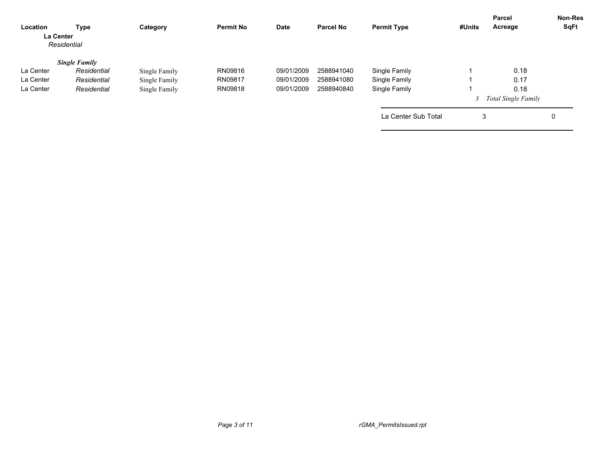| Location<br><b>La Center</b> | Type<br>Residential  | Category      | <b>Permit No</b> | <b>Date</b> | <b>Parcel No</b> | <b>Permit Type</b>  | #Units | Parcel<br>Acreage     | <b>Non-Res</b><br>SqFt |
|------------------------------|----------------------|---------------|------------------|-------------|------------------|---------------------|--------|-----------------------|------------------------|
|                              | <b>Single Family</b> |               |                  |             |                  |                     |        |                       |                        |
| La Center                    | Residential          | Single Family | RN09816          | 09/01/2009  | 2588941040       | Single Family       |        | 0.18                  |                        |
| La Center                    | Residential          | Single Family | RN09817          | 09/01/2009  | 2588941080       | Single Family       |        | 0.17                  |                        |
| La Center                    | Residential          | Single Family | RN09818          | 09/01/2009  | 2588940840       | Single Family       |        | 0.18                  |                        |
|                              |                      |               |                  |             |                  |                     |        | 3 Total Single Family |                        |
|                              |                      |               |                  |             |                  | La Center Sub Total | 3      |                       | 0                      |
|                              |                      |               |                  |             |                  |                     |        |                       |                        |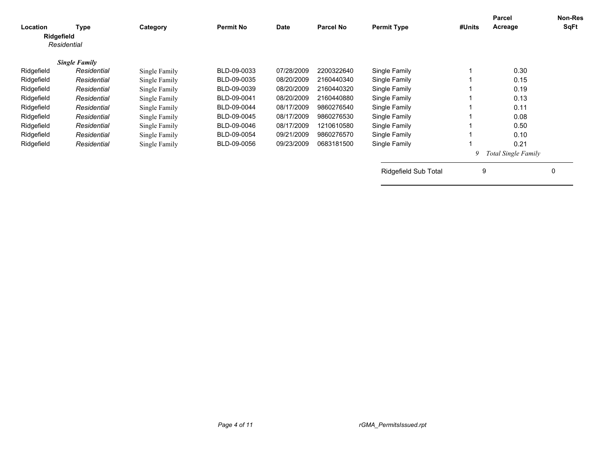| Location<br>Ridgefield | Type<br>Residential  | Category      | <b>Permit No</b> | <b>Date</b> | <b>Parcel No</b> | <b>Permit Type</b>          | #Units | <b>Parcel</b><br>Acreage   | <b>Non-Res</b><br>SqFt |
|------------------------|----------------------|---------------|------------------|-------------|------------------|-----------------------------|--------|----------------------------|------------------------|
|                        |                      |               |                  |             |                  |                             |        |                            |                        |
|                        | <b>Single Family</b> |               |                  |             |                  |                             |        |                            |                        |
| Ridgefield             | Residential          | Single Family | BLD-09-0033      | 07/28/2009  | 2200322640       | Single Family               |        | 0.30                       |                        |
| Ridgefield             | Residential          | Single Family | BLD-09-0035      | 08/20/2009  | 2160440340       | Single Family               |        | 0.15                       |                        |
| Ridgefield             | Residential          | Single Family | BLD-09-0039      | 08/20/2009  | 2160440320       | Single Family               |        | 0.19                       |                        |
| Ridgefield             | Residential          | Single Family | BLD-09-0041      | 08/20/2009  | 2160440880       | Single Family               |        | 0.13                       |                        |
| Ridgefield             | Residential          | Single Family | BLD-09-0044      | 08/17/2009  | 9860276540       | Single Family               |        | 0.11                       |                        |
| Ridgefield             | Residential          | Single Family | BLD-09-0045      | 08/17/2009  | 9860276530       | Single Family               |        | 0.08                       |                        |
| Ridgefield             | Residential          | Single Family | BLD-09-0046      | 08/17/2009  | 1210610580       | Single Family               |        | 0.50                       |                        |
| Ridgefield             | Residential          | Single Family | BLD-09-0054      | 09/21/2009  | 9860276570       | Single Family               |        | 0.10                       |                        |
| Ridgefield             | Residential          | Single Family | BLD-09-0056      | 09/23/2009  | 0683181500       | Single Family               |        | 0.21                       |                        |
|                        |                      |               |                  |             |                  |                             | 9      | <b>Total Single Family</b> |                        |
|                        |                      |               |                  |             |                  | <b>Ridgefield Sub Total</b> | 9      |                            | 0                      |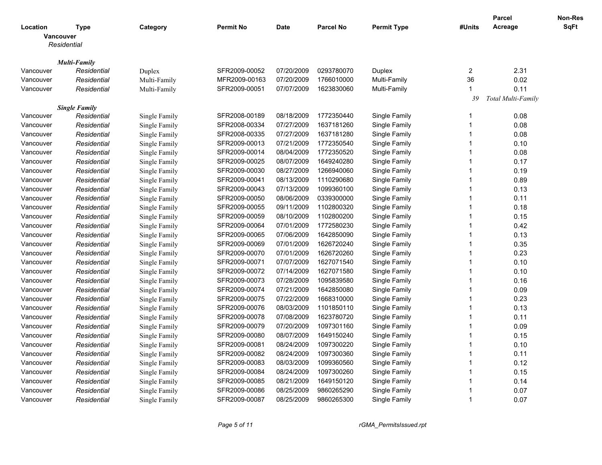|                        |                                     |               |                  |             |                  |                                |                         | <b>Parcel</b>      | Non-Res     |
|------------------------|-------------------------------------|---------------|------------------|-------------|------------------|--------------------------------|-------------------------|--------------------|-------------|
| Location               | Type                                | Category      | <b>Permit No</b> | <b>Date</b> | <b>Parcel No</b> | <b>Permit Type</b>             | #Units                  | Acreage            | <b>SqFt</b> |
| <b>Vancouver</b>       |                                     |               |                  |             |                  |                                |                         |                    |             |
|                        | Residential                         |               |                  |             |                  |                                |                         |                    |             |
|                        |                                     |               |                  |             |                  |                                |                         |                    |             |
|                        | <b>Multi-Family</b>                 |               |                  |             |                  |                                |                         |                    |             |
| Vancouver              | Residential                         | Duplex        | SFR2009-00052    | 07/20/2009  | 0293780070       | Duplex                         | $\overline{2}$          | 2.31               |             |
| Vancouver              | Residential                         | Multi-Family  | MFR2009-00163    | 07/20/2009  | 1766010000       | Multi-Family                   | 36                      | 0.02               |             |
| Vancouver              | Residential                         | Multi-Family  | SFR2009-00051    | 07/07/2009  | 1623830060       | Multi-Family                   | -1                      | 0.11               |             |
|                        |                                     |               |                  |             |                  |                                | 39                      | Total Multi-Family |             |
| Vancouver              | <b>Single Family</b><br>Residential |               | SFR2008-00189    | 08/18/2009  | 1772350440       |                                | -1                      | 0.08               |             |
|                        |                                     | Single Family | SFR2008-00334    | 07/27/2009  | 1637181260       | Single Family<br>Single Family | $\overline{1}$          | 0.08               |             |
| Vancouver<br>Vancouver | Residential<br>Residential          | Single Family | SFR2008-00335    | 07/27/2009  | 1637181280       | Single Family                  | $\overline{1}$          | 0.08               |             |
| Vancouver              |                                     | Single Family | SFR2009-00013    | 07/21/2009  | 1772350540       |                                | $\overline{1}$          |                    |             |
|                        | Residential                         | Single Family |                  |             | 1772350520       | Single Family                  | $\overline{1}$          | 0.10               |             |
| Vancouver              | Residential                         | Single Family | SFR2009-00014    | 08/04/2009  |                  | Single Family                  | $\overline{1}$          | 0.08               |             |
| Vancouver              | Residential                         | Single Family | SFR2009-00025    | 08/07/2009  | 1649240280       | Single Family                  |                         | 0.17               |             |
| Vancouver              | Residential                         | Single Family | SFR2009-00030    | 08/27/2009  | 1266940060       | Single Family                  | $\overline{1}$          | 0.19               |             |
| Vancouver              | Residential                         | Single Family | SFR2009-00041    | 08/13/2009  | 1110290680       | Single Family                  | $\overline{1}$          | 0.89               |             |
| Vancouver              | Residential                         | Single Family | SFR2009-00043    | 07/13/2009  | 1099360100       | Single Family                  | $\overline{\mathbf{1}}$ | 0.13               |             |
| Vancouver              | Residential                         | Single Family | SFR2009-00050    | 08/06/2009  | 0339300000       | Single Family                  | $\overline{1}$          | 0.11               |             |
| Vancouver              | Residential                         | Single Family | SFR2009-00055    | 09/11/2009  | 1102800320       | Single Family                  | $\overline{1}$          | 0.18               |             |
| Vancouver              | Residential                         | Single Family | SFR2009-00059    | 08/10/2009  | 1102800200       | Single Family                  | $\overline{1}$          | 0.15               |             |
| Vancouver              | Residential                         | Single Family | SFR2009-00064    | 07/01/2009  | 1772580230       | Single Family                  | $\overline{1}$          | 0.42               |             |
| Vancouver              | Residential                         | Single Family | SFR2009-00065    | 07/06/2009  | 1642850090       | Single Family                  | $\overline{1}$          | 0.13               |             |
| Vancouver              | Residential                         | Single Family | SFR2009-00069    | 07/01/2009  | 1626720240       | Single Family                  | $\overline{1}$          | 0.35               |             |
| Vancouver              | Residential                         | Single Family | SFR2009-00070    | 07/01/2009  | 1626720260       | Single Family                  | $\overline{1}$          | 0.23               |             |
| Vancouver              | Residential                         | Single Family | SFR2009-00071    | 07/07/2009  | 1627071540       | Single Family                  | $\overline{1}$          | 0.10               |             |
| Vancouver              | Residential                         | Single Family | SFR2009-00072    | 07/14/2009  | 1627071580       | Single Family                  | $\overline{1}$          | 0.10               |             |
| Vancouver              | Residential                         | Single Family | SFR2009-00073    | 07/28/2009  | 1095839580       | Single Family                  | $\overline{1}$          | 0.16               |             |
| Vancouver              | Residential                         | Single Family | SFR2009-00074    | 07/21/2009  | 1642850080       | Single Family                  | $\overline{1}$          | 0.09               |             |
| Vancouver              | Residential                         | Single Family | SFR2009-00075    | 07/22/2009  | 1668310000       | Single Family                  | $\overline{1}$          | 0.23               |             |
| Vancouver              | Residential                         | Single Family | SFR2009-00076    | 08/03/2009  | 1101850110       | Single Family                  | $\overline{1}$          | 0.13               |             |
| Vancouver              | Residential                         | Single Family | SFR2009-00078    | 07/08/2009  | 1623780720       | Single Family                  | $\overline{1}$          | 0.11               |             |
| Vancouver              | Residential                         | Single Family | SFR2009-00079    | 07/20/2009  | 1097301160       | Single Family                  | $\overline{1}$          | 0.09               |             |
| Vancouver              | Residential                         | Single Family | SFR2009-00080    | 08/07/2009  | 1649150240       | Single Family                  | $\overline{1}$          | 0.15               |             |
| Vancouver              | Residential                         | Single Family | SFR2009-00081    | 08/24/2009  | 1097300220       | Single Family                  | 1                       | 0.10               |             |
| Vancouver              | Residential                         | Single Family | SFR2009-00082    | 08/24/2009  | 1097300360       | Single Family                  | $\overline{1}$          | 0.11               |             |
| Vancouver              | Residential                         | Single Family | SFR2009-00083    | 08/03/2009  | 1099360560       | Single Family                  | -1                      | 0.12               |             |
| Vancouver              | Residential                         | Single Family | SFR2009-00084    | 08/24/2009  | 1097300260       | Single Family                  | $\overline{1}$          | 0.15               |             |
| Vancouver              | Residential                         | Single Family | SFR2009-00085    | 08/21/2009  | 1649150120       | Single Family                  | -1                      | 0.14               |             |
| Vancouver              | Residential                         | Single Family | SFR2009-00086    | 08/25/2009  | 9860265290       | Single Family                  | $\overline{1}$          | 0.07               |             |
| Vancouver              | Residential                         | Single Family | SFR2009-00087    | 08/25/2009  | 9860265300       | Single Family                  | 1                       | 0.07               |             |
|                        |                                     |               |                  |             |                  |                                |                         |                    |             |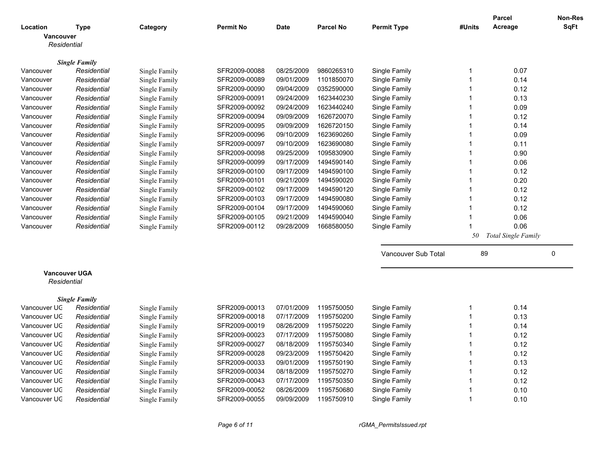| <b>SqFt</b><br>Acreage<br><b>Permit No</b><br>Parcel No<br><b>Permit Type</b><br>Location<br><b>Type</b><br>Category<br><b>Date</b><br>#Units<br><b>Vancouver</b><br>Residential<br><b>Single Family</b><br>Vancouver<br>SFR2009-00088<br>08/25/2009<br>9860265310<br>Single Family<br>0.07<br>Residential<br>Single Family<br>-1<br>Residential<br>09/01/2009<br>1101850070<br>0.14<br>Vancouver<br>Single Family<br>SFR2009-00089<br>Single Family<br>$\mathbf 1$<br>09/04/2009<br>0352590000<br>$\mathbf{1}$<br>0.12<br>Vancouver<br>Residential<br>Single Family<br>SFR2009-00090<br>Single Family<br>SFR2009-00091<br>09/24/2009<br>1623440230<br>$\mathbf{1}$<br>0.13<br>Residential<br>Single Family<br>Single Family<br>Vancouver<br>09/24/2009<br>1623440240<br>$\mathbf{1}$<br>0.09<br>Vancouver<br>Residential<br>Single Family<br>SFR2009-00092<br>Single Family<br>SFR2009-00094<br>09/09/2009<br>1626720070<br>0.12<br>Vancouver<br>Residential<br>Single Family<br>Single Family<br>$\mathbf 1$<br>09/09/2009<br>1626720150<br>$\mathbf{1}$<br>0.14<br>Vancouver<br>Residential<br>SFR2009-00095<br>Single Family<br>Single Family<br>SFR2009-00096<br>09/10/2009<br>1623690260<br>$\mathbf{1}$<br>Single Family<br>0.09<br>Vancouver<br>Residential<br>Single Family<br>09/10/2009<br>1623690080<br>$\mathbf{1}$<br>Vancouver<br>SFR2009-00097<br>Single Family<br>0.11<br>Residential<br>Single Family<br>1095830900<br>0.90<br>Residential<br>SFR2009-00098<br>09/25/2009<br>Single Family<br>$\mathbf{1}$<br>Vancouver<br>Single Family<br>09/17/2009<br>SFR2009-00099<br>1494590140<br>Single Family<br>$\mathbf{1}$<br>0.06<br>Vancouver<br>Residential<br>Single Family<br>SFR2009-00100<br>09/17/2009<br>1494590100<br>$\mathbf{1}$<br>0.12<br>Vancouver<br>Residential<br>Single Family<br>Single Family<br>1494590020<br>0.20<br>SFR2009-00101<br>09/21/2009<br>Single Family<br>$\mathbf{1}$<br>Vancouver<br>Residential<br>Single Family<br>09/17/2009<br>1494590120<br>Residential<br>SFR2009-00102<br>Single Family<br>$\mathbf{1}$<br>0.12<br>Vancouver<br>Single Family<br>SFR2009-00103<br>09/17/2009<br>1494590080<br>Single Family<br>$\mathbf{1}$<br>0.12<br>Vancouver<br>Residential<br>Single Family<br>SFR2009-00104<br>09/17/2009<br>1494590060<br>$\mathbf{1}$<br>0.12<br>Residential<br>Single Family<br>Vancouver<br>Single Family<br>09/21/2009<br>1494590040<br>$\overline{1}$<br>0.06<br>Residential<br>SFR2009-00105<br>Single Family<br>Vancouver<br>Single Family<br>0.06<br>SFR2009-00112<br>09/28/2009<br>1668580050<br>Single Family<br>$\overline{1}$<br>Vancouver<br>Residential<br>Single Family<br>Total Single Family<br>50<br>Vancouver Sub Total<br>89<br>0<br><b>Vancouver UGA</b><br>Residential<br><b>Single Family</b><br>0.14<br>Vancouver UC<br>Residential<br>Single Family<br>SFR2009-00013<br>07/01/2009<br>1195750050<br>Single Family<br>$\mathbf{1}$<br>0.13<br>Vancouver UC<br>Residential<br>Single Family<br>SFR2009-00018<br>07/17/2009<br>1195750200<br>Single Family<br>$\mathbf{1}$<br>0.14<br>Vancouver UC<br>Single Family<br>SFR2009-00019<br>08/26/2009<br>1195750220<br>Single Family<br>$\mathbf{1}$<br>Residential<br>07/17/2009<br>1195750080<br>0.12<br>Vancouver UC<br>Residential<br>Single Family<br>SFR2009-00023<br>Single Family<br>$\mathbf{1}$<br>Vancouver UC<br>Residential<br>SFR2009-00027<br>08/18/2009<br>1195750340<br>Single Family<br>$\mathbf 1$<br>0.12<br>Single Family<br>09/23/2009<br>1195750420<br>0.12<br>Vancouver UC<br>Residential<br>SFR2009-00028<br>Single Family<br>$\mathbf 1$<br>Single Family<br>09/01/2009<br>Vancouver UC<br>SFR2009-00033<br>1195750190<br>Single Family<br>$\mathbf 1$<br>0.13<br>Residential<br>Single Family<br>08/18/2009<br>Vancouver UC<br>Residential<br>SFR2009-00034<br>1195750270<br>Single Family<br>$\mathbf 1$<br>0.12<br>Single Family<br>07/17/2009<br>1195750350<br>0.12<br>Vancouver UC<br>Residential<br>Single Family<br>SFR2009-00043<br>Single Family<br>$\mathbf 1$ |              |             |               |               |            |            |               |             | <b>Parcel</b> | Non-Res |
|---------------------------------------------------------------------------------------------------------------------------------------------------------------------------------------------------------------------------------------------------------------------------------------------------------------------------------------------------------------------------------------------------------------------------------------------------------------------------------------------------------------------------------------------------------------------------------------------------------------------------------------------------------------------------------------------------------------------------------------------------------------------------------------------------------------------------------------------------------------------------------------------------------------------------------------------------------------------------------------------------------------------------------------------------------------------------------------------------------------------------------------------------------------------------------------------------------------------------------------------------------------------------------------------------------------------------------------------------------------------------------------------------------------------------------------------------------------------------------------------------------------------------------------------------------------------------------------------------------------------------------------------------------------------------------------------------------------------------------------------------------------------------------------------------------------------------------------------------------------------------------------------------------------------------------------------------------------------------------------------------------------------------------------------------------------------------------------------------------------------------------------------------------------------------------------------------------------------------------------------------------------------------------------------------------------------------------------------------------------------------------------------------------------------------------------------------------------------------------------------------------------------------------------------------------------------------------------------------------------------------------------------------------------------------------------------------------------------------------------------------------------------------------------------------------------------------------------------------------------------------------------------------------------------------------------------------------------------------------------------------------------------------------------------------------------------------------------------------------------------------------------------------------------------------------------------------------------------------------------------------------------------------------------------------------------------------------------------------------------------------------------------------------------------------------------------------------------------------------------------------------------------------------------------------------------------------------------------------------------------------------------------------------------------------------------------------------------------------------------------------------------------------------------------------------------------------------------------------------------------------------------------------------------------------------------------------------------------------------------------------------------------------------------|--------------|-------------|---------------|---------------|------------|------------|---------------|-------------|---------------|---------|
|                                                                                                                                                                                                                                                                                                                                                                                                                                                                                                                                                                                                                                                                                                                                                                                                                                                                                                                                                                                                                                                                                                                                                                                                                                                                                                                                                                                                                                                                                                                                                                                                                                                                                                                                                                                                                                                                                                                                                                                                                                                                                                                                                                                                                                                                                                                                                                                                                                                                                                                                                                                                                                                                                                                                                                                                                                                                                                                                                                                                                                                                                                                                                                                                                                                                                                                                                                                                                                                                                                                                                                                                                                                                                                                                                                                                                                                                                                                                                                                                                                       |              |             |               |               |            |            |               |             |               |         |
|                                                                                                                                                                                                                                                                                                                                                                                                                                                                                                                                                                                                                                                                                                                                                                                                                                                                                                                                                                                                                                                                                                                                                                                                                                                                                                                                                                                                                                                                                                                                                                                                                                                                                                                                                                                                                                                                                                                                                                                                                                                                                                                                                                                                                                                                                                                                                                                                                                                                                                                                                                                                                                                                                                                                                                                                                                                                                                                                                                                                                                                                                                                                                                                                                                                                                                                                                                                                                                                                                                                                                                                                                                                                                                                                                                                                                                                                                                                                                                                                                                       |              |             |               |               |            |            |               |             |               |         |
|                                                                                                                                                                                                                                                                                                                                                                                                                                                                                                                                                                                                                                                                                                                                                                                                                                                                                                                                                                                                                                                                                                                                                                                                                                                                                                                                                                                                                                                                                                                                                                                                                                                                                                                                                                                                                                                                                                                                                                                                                                                                                                                                                                                                                                                                                                                                                                                                                                                                                                                                                                                                                                                                                                                                                                                                                                                                                                                                                                                                                                                                                                                                                                                                                                                                                                                                                                                                                                                                                                                                                                                                                                                                                                                                                                                                                                                                                                                                                                                                                                       |              |             |               |               |            |            |               |             |               |         |
|                                                                                                                                                                                                                                                                                                                                                                                                                                                                                                                                                                                                                                                                                                                                                                                                                                                                                                                                                                                                                                                                                                                                                                                                                                                                                                                                                                                                                                                                                                                                                                                                                                                                                                                                                                                                                                                                                                                                                                                                                                                                                                                                                                                                                                                                                                                                                                                                                                                                                                                                                                                                                                                                                                                                                                                                                                                                                                                                                                                                                                                                                                                                                                                                                                                                                                                                                                                                                                                                                                                                                                                                                                                                                                                                                                                                                                                                                                                                                                                                                                       |              |             |               |               |            |            |               |             |               |         |
|                                                                                                                                                                                                                                                                                                                                                                                                                                                                                                                                                                                                                                                                                                                                                                                                                                                                                                                                                                                                                                                                                                                                                                                                                                                                                                                                                                                                                                                                                                                                                                                                                                                                                                                                                                                                                                                                                                                                                                                                                                                                                                                                                                                                                                                                                                                                                                                                                                                                                                                                                                                                                                                                                                                                                                                                                                                                                                                                                                                                                                                                                                                                                                                                                                                                                                                                                                                                                                                                                                                                                                                                                                                                                                                                                                                                                                                                                                                                                                                                                                       |              |             |               |               |            |            |               |             |               |         |
|                                                                                                                                                                                                                                                                                                                                                                                                                                                                                                                                                                                                                                                                                                                                                                                                                                                                                                                                                                                                                                                                                                                                                                                                                                                                                                                                                                                                                                                                                                                                                                                                                                                                                                                                                                                                                                                                                                                                                                                                                                                                                                                                                                                                                                                                                                                                                                                                                                                                                                                                                                                                                                                                                                                                                                                                                                                                                                                                                                                                                                                                                                                                                                                                                                                                                                                                                                                                                                                                                                                                                                                                                                                                                                                                                                                                                                                                                                                                                                                                                                       |              |             |               |               |            |            |               |             |               |         |
|                                                                                                                                                                                                                                                                                                                                                                                                                                                                                                                                                                                                                                                                                                                                                                                                                                                                                                                                                                                                                                                                                                                                                                                                                                                                                                                                                                                                                                                                                                                                                                                                                                                                                                                                                                                                                                                                                                                                                                                                                                                                                                                                                                                                                                                                                                                                                                                                                                                                                                                                                                                                                                                                                                                                                                                                                                                                                                                                                                                                                                                                                                                                                                                                                                                                                                                                                                                                                                                                                                                                                                                                                                                                                                                                                                                                                                                                                                                                                                                                                                       |              |             |               |               |            |            |               |             |               |         |
|                                                                                                                                                                                                                                                                                                                                                                                                                                                                                                                                                                                                                                                                                                                                                                                                                                                                                                                                                                                                                                                                                                                                                                                                                                                                                                                                                                                                                                                                                                                                                                                                                                                                                                                                                                                                                                                                                                                                                                                                                                                                                                                                                                                                                                                                                                                                                                                                                                                                                                                                                                                                                                                                                                                                                                                                                                                                                                                                                                                                                                                                                                                                                                                                                                                                                                                                                                                                                                                                                                                                                                                                                                                                                                                                                                                                                                                                                                                                                                                                                                       |              |             |               |               |            |            |               |             |               |         |
|                                                                                                                                                                                                                                                                                                                                                                                                                                                                                                                                                                                                                                                                                                                                                                                                                                                                                                                                                                                                                                                                                                                                                                                                                                                                                                                                                                                                                                                                                                                                                                                                                                                                                                                                                                                                                                                                                                                                                                                                                                                                                                                                                                                                                                                                                                                                                                                                                                                                                                                                                                                                                                                                                                                                                                                                                                                                                                                                                                                                                                                                                                                                                                                                                                                                                                                                                                                                                                                                                                                                                                                                                                                                                                                                                                                                                                                                                                                                                                                                                                       |              |             |               |               |            |            |               |             |               |         |
|                                                                                                                                                                                                                                                                                                                                                                                                                                                                                                                                                                                                                                                                                                                                                                                                                                                                                                                                                                                                                                                                                                                                                                                                                                                                                                                                                                                                                                                                                                                                                                                                                                                                                                                                                                                                                                                                                                                                                                                                                                                                                                                                                                                                                                                                                                                                                                                                                                                                                                                                                                                                                                                                                                                                                                                                                                                                                                                                                                                                                                                                                                                                                                                                                                                                                                                                                                                                                                                                                                                                                                                                                                                                                                                                                                                                                                                                                                                                                                                                                                       |              |             |               |               |            |            |               |             |               |         |
|                                                                                                                                                                                                                                                                                                                                                                                                                                                                                                                                                                                                                                                                                                                                                                                                                                                                                                                                                                                                                                                                                                                                                                                                                                                                                                                                                                                                                                                                                                                                                                                                                                                                                                                                                                                                                                                                                                                                                                                                                                                                                                                                                                                                                                                                                                                                                                                                                                                                                                                                                                                                                                                                                                                                                                                                                                                                                                                                                                                                                                                                                                                                                                                                                                                                                                                                                                                                                                                                                                                                                                                                                                                                                                                                                                                                                                                                                                                                                                                                                                       |              |             |               |               |            |            |               |             |               |         |
|                                                                                                                                                                                                                                                                                                                                                                                                                                                                                                                                                                                                                                                                                                                                                                                                                                                                                                                                                                                                                                                                                                                                                                                                                                                                                                                                                                                                                                                                                                                                                                                                                                                                                                                                                                                                                                                                                                                                                                                                                                                                                                                                                                                                                                                                                                                                                                                                                                                                                                                                                                                                                                                                                                                                                                                                                                                                                                                                                                                                                                                                                                                                                                                                                                                                                                                                                                                                                                                                                                                                                                                                                                                                                                                                                                                                                                                                                                                                                                                                                                       |              |             |               |               |            |            |               |             |               |         |
|                                                                                                                                                                                                                                                                                                                                                                                                                                                                                                                                                                                                                                                                                                                                                                                                                                                                                                                                                                                                                                                                                                                                                                                                                                                                                                                                                                                                                                                                                                                                                                                                                                                                                                                                                                                                                                                                                                                                                                                                                                                                                                                                                                                                                                                                                                                                                                                                                                                                                                                                                                                                                                                                                                                                                                                                                                                                                                                                                                                                                                                                                                                                                                                                                                                                                                                                                                                                                                                                                                                                                                                                                                                                                                                                                                                                                                                                                                                                                                                                                                       |              |             |               |               |            |            |               |             |               |         |
|                                                                                                                                                                                                                                                                                                                                                                                                                                                                                                                                                                                                                                                                                                                                                                                                                                                                                                                                                                                                                                                                                                                                                                                                                                                                                                                                                                                                                                                                                                                                                                                                                                                                                                                                                                                                                                                                                                                                                                                                                                                                                                                                                                                                                                                                                                                                                                                                                                                                                                                                                                                                                                                                                                                                                                                                                                                                                                                                                                                                                                                                                                                                                                                                                                                                                                                                                                                                                                                                                                                                                                                                                                                                                                                                                                                                                                                                                                                                                                                                                                       |              |             |               |               |            |            |               |             |               |         |
|                                                                                                                                                                                                                                                                                                                                                                                                                                                                                                                                                                                                                                                                                                                                                                                                                                                                                                                                                                                                                                                                                                                                                                                                                                                                                                                                                                                                                                                                                                                                                                                                                                                                                                                                                                                                                                                                                                                                                                                                                                                                                                                                                                                                                                                                                                                                                                                                                                                                                                                                                                                                                                                                                                                                                                                                                                                                                                                                                                                                                                                                                                                                                                                                                                                                                                                                                                                                                                                                                                                                                                                                                                                                                                                                                                                                                                                                                                                                                                                                                                       |              |             |               |               |            |            |               |             |               |         |
|                                                                                                                                                                                                                                                                                                                                                                                                                                                                                                                                                                                                                                                                                                                                                                                                                                                                                                                                                                                                                                                                                                                                                                                                                                                                                                                                                                                                                                                                                                                                                                                                                                                                                                                                                                                                                                                                                                                                                                                                                                                                                                                                                                                                                                                                                                                                                                                                                                                                                                                                                                                                                                                                                                                                                                                                                                                                                                                                                                                                                                                                                                                                                                                                                                                                                                                                                                                                                                                                                                                                                                                                                                                                                                                                                                                                                                                                                                                                                                                                                                       |              |             |               |               |            |            |               |             |               |         |
|                                                                                                                                                                                                                                                                                                                                                                                                                                                                                                                                                                                                                                                                                                                                                                                                                                                                                                                                                                                                                                                                                                                                                                                                                                                                                                                                                                                                                                                                                                                                                                                                                                                                                                                                                                                                                                                                                                                                                                                                                                                                                                                                                                                                                                                                                                                                                                                                                                                                                                                                                                                                                                                                                                                                                                                                                                                                                                                                                                                                                                                                                                                                                                                                                                                                                                                                                                                                                                                                                                                                                                                                                                                                                                                                                                                                                                                                                                                                                                                                                                       |              |             |               |               |            |            |               |             |               |         |
|                                                                                                                                                                                                                                                                                                                                                                                                                                                                                                                                                                                                                                                                                                                                                                                                                                                                                                                                                                                                                                                                                                                                                                                                                                                                                                                                                                                                                                                                                                                                                                                                                                                                                                                                                                                                                                                                                                                                                                                                                                                                                                                                                                                                                                                                                                                                                                                                                                                                                                                                                                                                                                                                                                                                                                                                                                                                                                                                                                                                                                                                                                                                                                                                                                                                                                                                                                                                                                                                                                                                                                                                                                                                                                                                                                                                                                                                                                                                                                                                                                       |              |             |               |               |            |            |               |             |               |         |
|                                                                                                                                                                                                                                                                                                                                                                                                                                                                                                                                                                                                                                                                                                                                                                                                                                                                                                                                                                                                                                                                                                                                                                                                                                                                                                                                                                                                                                                                                                                                                                                                                                                                                                                                                                                                                                                                                                                                                                                                                                                                                                                                                                                                                                                                                                                                                                                                                                                                                                                                                                                                                                                                                                                                                                                                                                                                                                                                                                                                                                                                                                                                                                                                                                                                                                                                                                                                                                                                                                                                                                                                                                                                                                                                                                                                                                                                                                                                                                                                                                       |              |             |               |               |            |            |               |             |               |         |
|                                                                                                                                                                                                                                                                                                                                                                                                                                                                                                                                                                                                                                                                                                                                                                                                                                                                                                                                                                                                                                                                                                                                                                                                                                                                                                                                                                                                                                                                                                                                                                                                                                                                                                                                                                                                                                                                                                                                                                                                                                                                                                                                                                                                                                                                                                                                                                                                                                                                                                                                                                                                                                                                                                                                                                                                                                                                                                                                                                                                                                                                                                                                                                                                                                                                                                                                                                                                                                                                                                                                                                                                                                                                                                                                                                                                                                                                                                                                                                                                                                       |              |             |               |               |            |            |               |             |               |         |
|                                                                                                                                                                                                                                                                                                                                                                                                                                                                                                                                                                                                                                                                                                                                                                                                                                                                                                                                                                                                                                                                                                                                                                                                                                                                                                                                                                                                                                                                                                                                                                                                                                                                                                                                                                                                                                                                                                                                                                                                                                                                                                                                                                                                                                                                                                                                                                                                                                                                                                                                                                                                                                                                                                                                                                                                                                                                                                                                                                                                                                                                                                                                                                                                                                                                                                                                                                                                                                                                                                                                                                                                                                                                                                                                                                                                                                                                                                                                                                                                                                       |              |             |               |               |            |            |               |             |               |         |
|                                                                                                                                                                                                                                                                                                                                                                                                                                                                                                                                                                                                                                                                                                                                                                                                                                                                                                                                                                                                                                                                                                                                                                                                                                                                                                                                                                                                                                                                                                                                                                                                                                                                                                                                                                                                                                                                                                                                                                                                                                                                                                                                                                                                                                                                                                                                                                                                                                                                                                                                                                                                                                                                                                                                                                                                                                                                                                                                                                                                                                                                                                                                                                                                                                                                                                                                                                                                                                                                                                                                                                                                                                                                                                                                                                                                                                                                                                                                                                                                                                       |              |             |               |               |            |            |               |             |               |         |
|                                                                                                                                                                                                                                                                                                                                                                                                                                                                                                                                                                                                                                                                                                                                                                                                                                                                                                                                                                                                                                                                                                                                                                                                                                                                                                                                                                                                                                                                                                                                                                                                                                                                                                                                                                                                                                                                                                                                                                                                                                                                                                                                                                                                                                                                                                                                                                                                                                                                                                                                                                                                                                                                                                                                                                                                                                                                                                                                                                                                                                                                                                                                                                                                                                                                                                                                                                                                                                                                                                                                                                                                                                                                                                                                                                                                                                                                                                                                                                                                                                       |              |             |               |               |            |            |               |             |               |         |
|                                                                                                                                                                                                                                                                                                                                                                                                                                                                                                                                                                                                                                                                                                                                                                                                                                                                                                                                                                                                                                                                                                                                                                                                                                                                                                                                                                                                                                                                                                                                                                                                                                                                                                                                                                                                                                                                                                                                                                                                                                                                                                                                                                                                                                                                                                                                                                                                                                                                                                                                                                                                                                                                                                                                                                                                                                                                                                                                                                                                                                                                                                                                                                                                                                                                                                                                                                                                                                                                                                                                                                                                                                                                                                                                                                                                                                                                                                                                                                                                                                       |              |             |               |               |            |            |               |             |               |         |
|                                                                                                                                                                                                                                                                                                                                                                                                                                                                                                                                                                                                                                                                                                                                                                                                                                                                                                                                                                                                                                                                                                                                                                                                                                                                                                                                                                                                                                                                                                                                                                                                                                                                                                                                                                                                                                                                                                                                                                                                                                                                                                                                                                                                                                                                                                                                                                                                                                                                                                                                                                                                                                                                                                                                                                                                                                                                                                                                                                                                                                                                                                                                                                                                                                                                                                                                                                                                                                                                                                                                                                                                                                                                                                                                                                                                                                                                                                                                                                                                                                       |              |             |               |               |            |            |               |             |               |         |
|                                                                                                                                                                                                                                                                                                                                                                                                                                                                                                                                                                                                                                                                                                                                                                                                                                                                                                                                                                                                                                                                                                                                                                                                                                                                                                                                                                                                                                                                                                                                                                                                                                                                                                                                                                                                                                                                                                                                                                                                                                                                                                                                                                                                                                                                                                                                                                                                                                                                                                                                                                                                                                                                                                                                                                                                                                                                                                                                                                                                                                                                                                                                                                                                                                                                                                                                                                                                                                                                                                                                                                                                                                                                                                                                                                                                                                                                                                                                                                                                                                       |              |             |               |               |            |            |               |             |               |         |
|                                                                                                                                                                                                                                                                                                                                                                                                                                                                                                                                                                                                                                                                                                                                                                                                                                                                                                                                                                                                                                                                                                                                                                                                                                                                                                                                                                                                                                                                                                                                                                                                                                                                                                                                                                                                                                                                                                                                                                                                                                                                                                                                                                                                                                                                                                                                                                                                                                                                                                                                                                                                                                                                                                                                                                                                                                                                                                                                                                                                                                                                                                                                                                                                                                                                                                                                                                                                                                                                                                                                                                                                                                                                                                                                                                                                                                                                                                                                                                                                                                       |              |             |               |               |            |            |               |             |               |         |
|                                                                                                                                                                                                                                                                                                                                                                                                                                                                                                                                                                                                                                                                                                                                                                                                                                                                                                                                                                                                                                                                                                                                                                                                                                                                                                                                                                                                                                                                                                                                                                                                                                                                                                                                                                                                                                                                                                                                                                                                                                                                                                                                                                                                                                                                                                                                                                                                                                                                                                                                                                                                                                                                                                                                                                                                                                                                                                                                                                                                                                                                                                                                                                                                                                                                                                                                                                                                                                                                                                                                                                                                                                                                                                                                                                                                                                                                                                                                                                                                                                       |              |             |               |               |            |            |               |             |               |         |
|                                                                                                                                                                                                                                                                                                                                                                                                                                                                                                                                                                                                                                                                                                                                                                                                                                                                                                                                                                                                                                                                                                                                                                                                                                                                                                                                                                                                                                                                                                                                                                                                                                                                                                                                                                                                                                                                                                                                                                                                                                                                                                                                                                                                                                                                                                                                                                                                                                                                                                                                                                                                                                                                                                                                                                                                                                                                                                                                                                                                                                                                                                                                                                                                                                                                                                                                                                                                                                                                                                                                                                                                                                                                                                                                                                                                                                                                                                                                                                                                                                       |              |             |               |               |            |            |               |             |               |         |
|                                                                                                                                                                                                                                                                                                                                                                                                                                                                                                                                                                                                                                                                                                                                                                                                                                                                                                                                                                                                                                                                                                                                                                                                                                                                                                                                                                                                                                                                                                                                                                                                                                                                                                                                                                                                                                                                                                                                                                                                                                                                                                                                                                                                                                                                                                                                                                                                                                                                                                                                                                                                                                                                                                                                                                                                                                                                                                                                                                                                                                                                                                                                                                                                                                                                                                                                                                                                                                                                                                                                                                                                                                                                                                                                                                                                                                                                                                                                                                                                                                       |              |             |               |               |            |            |               |             |               |         |
|                                                                                                                                                                                                                                                                                                                                                                                                                                                                                                                                                                                                                                                                                                                                                                                                                                                                                                                                                                                                                                                                                                                                                                                                                                                                                                                                                                                                                                                                                                                                                                                                                                                                                                                                                                                                                                                                                                                                                                                                                                                                                                                                                                                                                                                                                                                                                                                                                                                                                                                                                                                                                                                                                                                                                                                                                                                                                                                                                                                                                                                                                                                                                                                                                                                                                                                                                                                                                                                                                                                                                                                                                                                                                                                                                                                                                                                                                                                                                                                                                                       |              |             |               |               |            |            |               |             |               |         |
|                                                                                                                                                                                                                                                                                                                                                                                                                                                                                                                                                                                                                                                                                                                                                                                                                                                                                                                                                                                                                                                                                                                                                                                                                                                                                                                                                                                                                                                                                                                                                                                                                                                                                                                                                                                                                                                                                                                                                                                                                                                                                                                                                                                                                                                                                                                                                                                                                                                                                                                                                                                                                                                                                                                                                                                                                                                                                                                                                                                                                                                                                                                                                                                                                                                                                                                                                                                                                                                                                                                                                                                                                                                                                                                                                                                                                                                                                                                                                                                                                                       |              |             |               |               |            |            |               |             |               |         |
|                                                                                                                                                                                                                                                                                                                                                                                                                                                                                                                                                                                                                                                                                                                                                                                                                                                                                                                                                                                                                                                                                                                                                                                                                                                                                                                                                                                                                                                                                                                                                                                                                                                                                                                                                                                                                                                                                                                                                                                                                                                                                                                                                                                                                                                                                                                                                                                                                                                                                                                                                                                                                                                                                                                                                                                                                                                                                                                                                                                                                                                                                                                                                                                                                                                                                                                                                                                                                                                                                                                                                                                                                                                                                                                                                                                                                                                                                                                                                                                                                                       |              |             |               |               |            |            |               |             |               |         |
|                                                                                                                                                                                                                                                                                                                                                                                                                                                                                                                                                                                                                                                                                                                                                                                                                                                                                                                                                                                                                                                                                                                                                                                                                                                                                                                                                                                                                                                                                                                                                                                                                                                                                                                                                                                                                                                                                                                                                                                                                                                                                                                                                                                                                                                                                                                                                                                                                                                                                                                                                                                                                                                                                                                                                                                                                                                                                                                                                                                                                                                                                                                                                                                                                                                                                                                                                                                                                                                                                                                                                                                                                                                                                                                                                                                                                                                                                                                                                                                                                                       |              |             |               |               |            |            |               |             |               |         |
|                                                                                                                                                                                                                                                                                                                                                                                                                                                                                                                                                                                                                                                                                                                                                                                                                                                                                                                                                                                                                                                                                                                                                                                                                                                                                                                                                                                                                                                                                                                                                                                                                                                                                                                                                                                                                                                                                                                                                                                                                                                                                                                                                                                                                                                                                                                                                                                                                                                                                                                                                                                                                                                                                                                                                                                                                                                                                                                                                                                                                                                                                                                                                                                                                                                                                                                                                                                                                                                                                                                                                                                                                                                                                                                                                                                                                                                                                                                                                                                                                                       |              |             |               |               |            |            |               |             |               |         |
|                                                                                                                                                                                                                                                                                                                                                                                                                                                                                                                                                                                                                                                                                                                                                                                                                                                                                                                                                                                                                                                                                                                                                                                                                                                                                                                                                                                                                                                                                                                                                                                                                                                                                                                                                                                                                                                                                                                                                                                                                                                                                                                                                                                                                                                                                                                                                                                                                                                                                                                                                                                                                                                                                                                                                                                                                                                                                                                                                                                                                                                                                                                                                                                                                                                                                                                                                                                                                                                                                                                                                                                                                                                                                                                                                                                                                                                                                                                                                                                                                                       |              |             |               |               |            |            |               |             |               |         |
|                                                                                                                                                                                                                                                                                                                                                                                                                                                                                                                                                                                                                                                                                                                                                                                                                                                                                                                                                                                                                                                                                                                                                                                                                                                                                                                                                                                                                                                                                                                                                                                                                                                                                                                                                                                                                                                                                                                                                                                                                                                                                                                                                                                                                                                                                                                                                                                                                                                                                                                                                                                                                                                                                                                                                                                                                                                                                                                                                                                                                                                                                                                                                                                                                                                                                                                                                                                                                                                                                                                                                                                                                                                                                                                                                                                                                                                                                                                                                                                                                                       |              |             |               |               |            |            |               |             |               |         |
|                                                                                                                                                                                                                                                                                                                                                                                                                                                                                                                                                                                                                                                                                                                                                                                                                                                                                                                                                                                                                                                                                                                                                                                                                                                                                                                                                                                                                                                                                                                                                                                                                                                                                                                                                                                                                                                                                                                                                                                                                                                                                                                                                                                                                                                                                                                                                                                                                                                                                                                                                                                                                                                                                                                                                                                                                                                                                                                                                                                                                                                                                                                                                                                                                                                                                                                                                                                                                                                                                                                                                                                                                                                                                                                                                                                                                                                                                                                                                                                                                                       |              |             |               |               |            |            |               |             |               |         |
|                                                                                                                                                                                                                                                                                                                                                                                                                                                                                                                                                                                                                                                                                                                                                                                                                                                                                                                                                                                                                                                                                                                                                                                                                                                                                                                                                                                                                                                                                                                                                                                                                                                                                                                                                                                                                                                                                                                                                                                                                                                                                                                                                                                                                                                                                                                                                                                                                                                                                                                                                                                                                                                                                                                                                                                                                                                                                                                                                                                                                                                                                                                                                                                                                                                                                                                                                                                                                                                                                                                                                                                                                                                                                                                                                                                                                                                                                                                                                                                                                                       | Vancouver UC | Residential | Single Family | SFR2009-00052 | 08/26/2009 | 1195750680 | Single Family | $\mathbf 1$ | 0.10          |         |
| 09/09/2009<br>1195750910<br>$\mathbf{1}$<br>0.10<br>Vancouver UC<br>Single Family<br>SFR2009-00055<br>Single Family<br>Residential                                                                                                                                                                                                                                                                                                                                                                                                                                                                                                                                                                                                                                                                                                                                                                                                                                                                                                                                                                                                                                                                                                                                                                                                                                                                                                                                                                                                                                                                                                                                                                                                                                                                                                                                                                                                                                                                                                                                                                                                                                                                                                                                                                                                                                                                                                                                                                                                                                                                                                                                                                                                                                                                                                                                                                                                                                                                                                                                                                                                                                                                                                                                                                                                                                                                                                                                                                                                                                                                                                                                                                                                                                                                                                                                                                                                                                                                                                    |              |             |               |               |            |            |               |             |               |         |

*Page 6 of 11 rGMA\_PermitsIssued.rpt*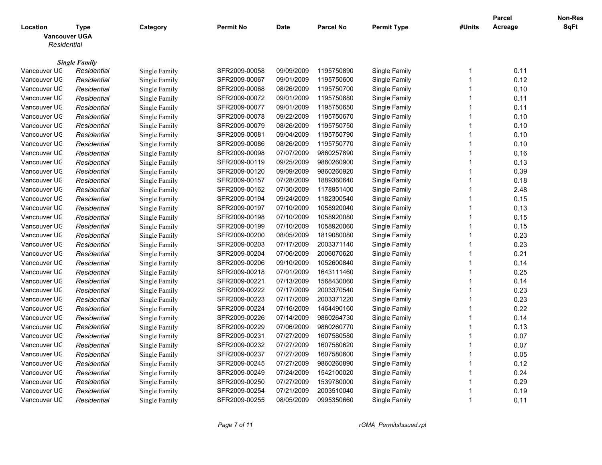|                                                 |                      |               |                  |             |                  |                    |                         | <b>Parcel</b> | Non-Res |
|-------------------------------------------------|----------------------|---------------|------------------|-------------|------------------|--------------------|-------------------------|---------------|---------|
| Location<br><b>Vancouver UGA</b><br>Residential | <b>Type</b>          | Category      | <b>Permit No</b> | <b>Date</b> | <b>Parcel No</b> | <b>Permit Type</b> | #Units                  | Acreage       | SqFt    |
|                                                 |                      |               |                  |             |                  |                    |                         |               |         |
|                                                 | <b>Single Family</b> |               |                  |             |                  |                    |                         |               |         |
| Vancouver UC                                    | Residential          | Single Family | SFR2009-00058    | 09/09/2009  | 1195750890       | Single Family      | -1                      | 0.11          |         |
| Vancouver UC                                    | Residential          | Single Family | SFR2009-00067    | 09/01/2009  | 1195750600       | Single Family      | $\overline{\mathbf{1}}$ | 0.12          |         |
| Vancouver UC                                    | Residential          | Single Family | SFR2009-00068    | 08/26/2009  | 1195750700       | Single Family      | $\overline{\mathbf{1}}$ | 0.10          |         |
| Vancouver UC                                    | Residential          | Single Family | SFR2009-00072    | 09/01/2009  | 1195750880       | Single Family      | $\overline{1}$          | 0.11          |         |
| Vancouver UC                                    | Residential          | Single Family | SFR2009-00077    | 09/01/2009  | 1195750650       | Single Family      | -1                      | 0.11          |         |
| Vancouver UC                                    | Residential          | Single Family | SFR2009-00078    | 09/22/2009  | 1195750670       | Single Family      | $\overline{1}$          | 0.10          |         |
| Vancouver UC                                    | Residential          | Single Family | SFR2009-00079    | 08/26/2009  | 1195750750       | Single Family      | $\overline{\mathbf{1}}$ | 0.10          |         |
| Vancouver UC                                    | Residential          | Single Family | SFR2009-00081    | 09/04/2009  | 1195750790       | Single Family      | $\overline{\mathbf{1}}$ | 0.10          |         |
| Vancouver UC                                    | Residential          | Single Family | SFR2009-00086    | 08/26/2009  | 1195750770       | Single Family      | $\overline{1}$          | 0.10          |         |
| Vancouver UC                                    | Residential          | Single Family | SFR2009-00098    | 07/07/2009  | 9860257890       | Single Family      | $\overline{1}$          | 0.16          |         |
| Vancouver UC                                    | Residential          | Single Family | SFR2009-00119    | 09/25/2009  | 9860260900       | Single Family      | $\overline{\mathbf{1}}$ | 0.13          |         |
| Vancouver UC                                    | Residential          | Single Family | SFR2009-00120    | 09/09/2009  | 9860260920       | Single Family      | $\overline{\mathbf{1}}$ | 0.39          |         |
| Vancouver UC                                    | Residential          | Single Family | SFR2009-00157    | 07/28/2009  | 1889360640       | Single Family      | -1                      | 0.18          |         |
| Vancouver UC                                    | Residential          | Single Family | SFR2009-00162    | 07/30/2009  | 1178951400       | Single Family      | $\overline{1}$          | 2.48          |         |
| Vancouver UC                                    | Residential          | Single Family | SFR2009-00194    | 09/24/2009  | 1182300540       | Single Family      | 1                       | 0.15          |         |
| Vancouver UC                                    | Residential          | Single Family | SFR2009-00197    | 07/10/2009  | 1058920040       | Single Family      | $\overline{1}$          | 0.13          |         |
| Vancouver UC                                    | Residential          | Single Family | SFR2009-00198    | 07/10/2009  | 1058920080       | Single Family      | 1                       | 0.15          |         |
| Vancouver UC                                    | Residential          | Single Family | SFR2009-00199    | 07/10/2009  | 1058920060       | Single Family      | $\overline{\mathbf{1}}$ | 0.15          |         |
| Vancouver UC                                    | Residential          | Single Family | SFR2009-00200    | 08/05/2009  | 1819080080       | Single Family      | $\overline{1}$          | 0.23          |         |
| Vancouver UC                                    | Residential          | Single Family | SFR2009-00203    | 07/17/2009  | 2003371140       | Single Family      | $\overline{\mathbf{1}}$ | 0.23          |         |
| Vancouver UC                                    | Residential          | Single Family | SFR2009-00204    | 07/06/2009  | 2006070620       | Single Family      | $\overline{1}$          | 0.21          |         |
| Vancouver UC                                    | Residential          | Single Family | SFR2009-00206    | 09/10/2009  | 1052600840       | Single Family      | $\overline{\mathbf{1}}$ | 0.14          |         |
| Vancouver UC                                    | Residential          | Single Family | SFR2009-00218    | 07/01/2009  | 1643111460       | Single Family      | $\overline{\mathbf{1}}$ | 0.25          |         |
| Vancouver UC                                    | Residential          | Single Family | SFR2009-00221    | 07/13/2009  | 1568430060       | Single Family      | -1                      | 0.14          |         |
| Vancouver UC                                    | Residential          | Single Family | SFR2009-00222    | 07/17/2009  | 2003370540       | Single Family      | $\overline{1}$          | 0.23          |         |
| Vancouver UC                                    | Residential          | Single Family | SFR2009-00223    | 07/17/2009  | 2003371220       | Single Family      | $\overline{1}$          | 0.23          |         |
| Vancouver UC                                    | Residential          | Single Family | SFR2009-00224    | 07/16/2009  | 1464490160       | Single Family      | $\overline{\mathbf{1}}$ | 0.22          |         |
| Vancouver UC                                    | Residential          | Single Family | SFR2009-00226    | 07/14/2009  | 9860264730       | Single Family      | $\overline{\mathbf{1}}$ | 0.14          |         |
| Vancouver UC                                    | Residential          | Single Family | SFR2009-00229    | 07/06/2009  | 9860260770       | Single Family      | $\overline{\mathbf{1}}$ | 0.13          |         |
| Vancouver UC                                    | Residential          | Single Family | SFR2009-00231    | 07/27/2009  | 1607580580       | Single Family      | $\overline{1}$          | 0.07          |         |
| Vancouver UC                                    | Residential          | Single Family | SFR2009-00232    | 07/27/2009  | 1607580620       | Single Family      | $\overline{\mathbf{1}}$ | 0.07          |         |
| Vancouver UC                                    | Residential          | Single Family | SFR2009-00237    | 07/27/2009  | 1607580600       | Single Family      | $\overline{1}$          | 0.05          |         |
| Vancouver UC                                    | Residential          | Single Family | SFR2009-00245    | 07/27/2009  | 9860260890       | Single Family      | $\overline{1}$          | 0.12          |         |
| Vancouver UC                                    | Residential          | Single Family | SFR2009-00249    | 07/24/2009  | 1542100020       | Single Family      | 1                       | 0.24          |         |
| Vancouver UC                                    | Residential          | Single Family | SFR2009-00250    | 07/27/2009  | 1539780000       | Single Family      | $\overline{1}$          | 0.29          |         |
| Vancouver UC                                    | Residential          | Single Family | SFR2009-00254    | 07/21/2009  | 2003510040       | Single Family      | -1                      | 0.19          |         |
| Vancouver UC                                    | Residential          | Single Family | SFR2009-00255    | 08/05/2009  | 0995350660       | Single Family      | -1                      | 0.11          |         |
|                                                 |                      |               |                  |             |                  |                    |                         |               |         |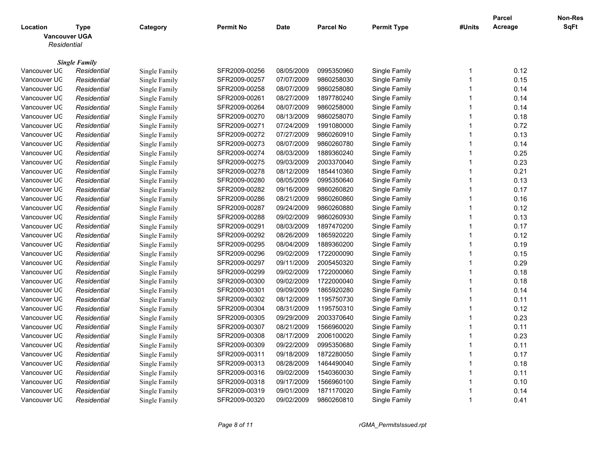|                                                 |                      |               |                  |             |                  |                    |                         | <b>Parcel</b> | Non-Res     |
|-------------------------------------------------|----------------------|---------------|------------------|-------------|------------------|--------------------|-------------------------|---------------|-------------|
| Location<br><b>Vancouver UGA</b><br>Residential | <b>Type</b>          | Category      | <b>Permit No</b> | <b>Date</b> | <b>Parcel No</b> | <b>Permit Type</b> | #Units                  | Acreage       | <b>SqFt</b> |
|                                                 | <b>Single Family</b> |               |                  |             |                  |                    |                         |               |             |
| Vancouver UC                                    | Residential          | Single Family | SFR2009-00256    | 08/05/2009  | 0995350960       | Single Family      | -1                      | 0.12          |             |
| Vancouver UC                                    | Residential          | Single Family | SFR2009-00257    | 07/07/2009  | 9860258030       | Single Family      | $\overline{1}$          | 0.15          |             |
| Vancouver UC                                    | Residential          | Single Family | SFR2009-00258    | 08/07/2009  | 9860258080       | Single Family      | $\overline{\mathbf{1}}$ | 0.14          |             |
| Vancouver UC                                    | Residential          | Single Family | SFR2009-00261    | 08/27/2009  | 1897780240       | Single Family      | $\overline{\mathbf{1}}$ | 0.14          |             |
| Vancouver UC                                    | Residential          | Single Family | SFR2009-00264    | 08/07/2009  | 9860258000       | Single Family      | -1                      | 0.14          |             |
| Vancouver UC                                    | Residential          | Single Family | SFR2009-00270    | 08/13/2009  | 9860258070       | Single Family      | $\overline{1}$          | 0.18          |             |
| Vancouver UC                                    | Residential          | Single Family | SFR2009-00271    | 07/24/2009  | 1991080000       | Single Family      | $\overline{1}$          | 0.72          |             |
| Vancouver UC                                    | Residential          | Single Family | SFR2009-00272    | 07/27/2009  | 9860260910       | Single Family      | $\overline{1}$          | 0.13          |             |
| Vancouver UC                                    | Residential          | Single Family | SFR2009-00273    | 08/07/2009  | 9860260780       | Single Family      | $\overline{1}$          | 0.14          |             |
| Vancouver UC                                    | Residential          | Single Family | SFR2009-00274    | 08/03/2009  | 1889360240       | Single Family      | $\overline{\mathbf{1}}$ | 0.25          |             |
| Vancouver UC                                    | Residential          | Single Family | SFR2009-00275    | 09/03/2009  | 2003370040       | Single Family      | $\overline{1}$          | 0.23          |             |
| Vancouver UC                                    | Residential          | Single Family | SFR2009-00278    | 08/12/2009  | 1854410360       | Single Family      | $\overline{1}$          | 0.21          |             |
| Vancouver UC                                    | Residential          | Single Family | SFR2009-00280    | 08/05/2009  | 0995350640       | Single Family      | $\overline{1}$          | 0.13          |             |
| Vancouver UC                                    | Residential          | Single Family | SFR2009-00282    | 09/16/2009  | 9860260820       | Single Family      | $\overline{1}$          | 0.17          |             |
| Vancouver UC                                    | Residential          | Single Family | SFR2009-00286    | 08/21/2009  | 9860260860       | Single Family      | $\overline{1}$          | 0.16          |             |
| Vancouver UC                                    | Residential          | Single Family | SFR2009-00287    | 09/24/2009  | 9860260880       | Single Family      | $\overline{\mathbf{1}}$ | 0.12          |             |
| Vancouver UC                                    | Residential          | Single Family | SFR2009-00288    | 09/02/2009  | 9860260930       | Single Family      | $\overline{1}$          | 0.13          |             |
| Vancouver UC                                    | Residential          | Single Family | SFR2009-00291    | 08/03/2009  | 1897470200       | Single Family      | $\overline{1}$          | 0.17          |             |
| Vancouver UC                                    | Residential          | Single Family | SFR2009-00292    | 08/26/2009  | 1865920220       | Single Family      | $\overline{1}$          | 0.12          |             |
| Vancouver UC                                    | Residential          | Single Family | SFR2009-00295    | 08/04/2009  | 1889360200       | Single Family      | $\overline{1}$          | 0.19          |             |
| Vancouver UC                                    | Residential          | Single Family | SFR2009-00296    | 09/02/2009  | 1722000090       | Single Family      | $\overline{1}$          | 0.15          |             |
| Vancouver UC                                    | Residential          | Single Family | SFR2009-00297    | 09/11/2009  | 2005450320       | Single Family      | $\overline{\mathbf{1}}$ | 0.29          |             |
| Vancouver UC                                    | Residential          | Single Family | SFR2009-00299    | 09/02/2009  | 1722000060       | Single Family      | $\overline{\mathbf{1}}$ | 0.18          |             |
| Vancouver UC                                    | Residential          | Single Family | SFR2009-00300    | 09/02/2009  | 1722000040       | Single Family      | $\overline{\mathbf{1}}$ | 0.18          |             |
| Vancouver UC                                    | Residential          | Single Family | SFR2009-00301    | 09/09/2009  | 1865920280       | Single Family      | $\overline{1}$          | 0.14          |             |
| Vancouver UC                                    | Residential          | Single Family | SFR2009-00302    | 08/12/2009  | 1195750730       | Single Family      | $\overline{\mathbf{1}}$ | 0.11          |             |
| Vancouver UC                                    | Residential          | Single Family | SFR2009-00304    | 08/31/2009  | 1195750310       | Single Family      | $\overline{1}$          | 0.12          |             |
| Vancouver UC                                    | Residential          | Single Family | SFR2009-00305    | 09/29/2009  | 2003370640       | Single Family      | $\overline{1}$          | 0.23          |             |
| Vancouver UC                                    | Residential          | Single Family | SFR2009-00307    | 08/21/2009  | 1566960020       | Single Family      | $\overline{1}$          | 0.11          |             |
| Vancouver UC                                    | Residential          | Single Family | SFR2009-00308    | 08/17/2009  | 2006100020       | Single Family      | $\overline{1}$          | 0.23          |             |
| Vancouver UC                                    | Residential          | Single Family | SFR2009-00309    | 09/22/2009  | 0995350680       | Single Family      | $\overline{\mathbf{1}}$ | 0.11          |             |
| Vancouver UC                                    | Residential          | Single Family | SFR2009-00311    | 09/18/2009  | 1872280050       | Single Family      | $\overline{1}$          | 0.17          |             |
| Vancouver UC                                    | Residential          | Single Family | SFR2009-00313    | 08/28/2009  | 1464490040       | Single Family      | $\overline{1}$          | 0.18          |             |
| Vancouver UC                                    | Residential          | Single Family | SFR2009-00316    | 09/02/2009  | 1540360030       | Single Family      | $\overline{1}$          | 0.11          |             |
| Vancouver UC                                    | Residential          | Single Family | SFR2009-00318    | 09/17/2009  | 1566960100       | Single Family      | $\overline{1}$          | 0.10          |             |
| Vancouver UC                                    | Residential          | Single Family | SFR2009-00319    | 09/01/2009  | 1871170020       | Single Family      | $\overline{1}$          | 0.14          |             |
| Vancouver UC                                    | Residential          | Single Family | SFR2009-00320    | 09/02/2009  | 9860260810       | Single Family      | -1                      | 0.41          |             |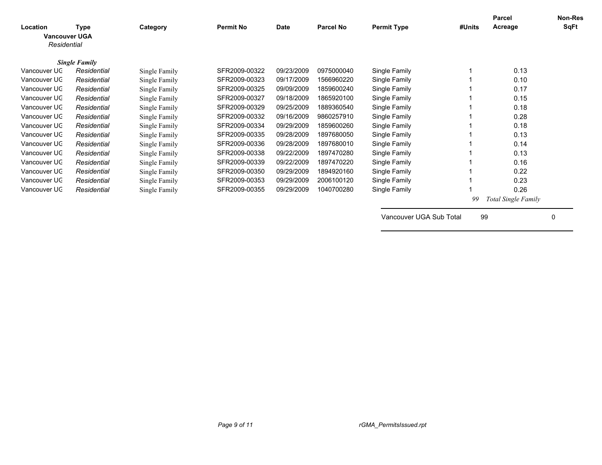| Location<br>Residential | Type<br><b>Vancouver UGA</b> | Category      | <b>Permit No</b> | <b>Date</b> | <b>Parcel No</b> | <b>Permit Type</b> | #Units | Parcel<br>Acreage          | Non-Res<br>SqFt |
|-------------------------|------------------------------|---------------|------------------|-------------|------------------|--------------------|--------|----------------------------|-----------------|
|                         | <b>Single Family</b>         |               |                  |             |                  |                    |        |                            |                 |
| Vancouver UC            | Residential                  | Single Family | SFR2009-00322    | 09/23/2009  | 0975000040       | Single Family      |        | 0.13                       |                 |
| Vancouver UC            | Residential                  | Single Family | SFR2009-00323    | 09/17/2009  | 1566960220       | Single Family      |        | 0.10                       |                 |
| Vancouver UC            | Residential                  | Single Family | SFR2009-00325    | 09/09/2009  | 1859600240       | Single Family      |        | 0.17                       |                 |
| Vancouver UC            | Residential                  | Single Family | SFR2009-00327    | 09/18/2009  | 1865920100       | Single Family      |        | 0.15                       |                 |
| Vancouver UC            | Residential                  | Single Family | SFR2009-00329    | 09/25/2009  | 1889360540       | Single Family      |        | 0.18                       |                 |
| Vancouver UC            | Residential                  | Single Family | SFR2009-00332    | 09/16/2009  | 9860257910       | Single Family      |        | 0.28                       |                 |
| Vancouver UC            | Residential                  | Single Family | SFR2009-00334    | 09/29/2009  | 1859600260       | Single Family      |        | 0.18                       |                 |
| Vancouver UC            | Residential                  | Single Family | SFR2009-00335    | 09/28/2009  | 1897680050       | Single Family      |        | 0.13                       |                 |
| Vancouver UC            | Residential                  | Single Family | SFR2009-00336    | 09/28/2009  | 1897680010       | Single Family      |        | 0.14                       |                 |
| Vancouver UC            | Residential                  | Single Family | SFR2009-00338    | 09/22/2009  | 1897470280       | Single Family      |        | 0.13                       |                 |
| Vancouver UC            | Residential                  | Single Family | SFR2009-00339    | 09/22/2009  | 1897470220       | Single Family      |        | 0.16                       |                 |
| Vancouver UC            | Residential                  | Single Family | SFR2009-00350    | 09/29/2009  | 1894920160       | Single Family      |        | 0.22                       |                 |
| Vancouver UC            | Residential                  | Single Family | SFR2009-00353    | 09/29/2009  | 2006100120       | Single Family      |        | 0.23                       |                 |
| Vancouver UC            | Residential                  | Single Family | SFR2009-00355    | 09/29/2009  | 1040700280       | Single Family      |        | 0.26                       |                 |
|                         |                              |               |                  |             |                  |                    | 99     | <b>Total Single Family</b> |                 |

Vancouver UGA Sub Total 99 0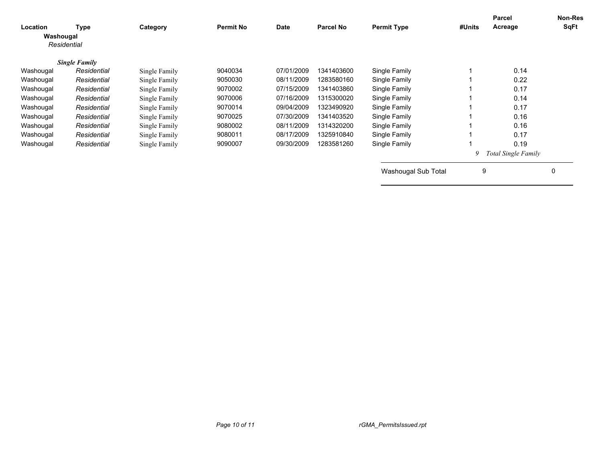| Location<br>Washougal | <b>Type</b><br>Residential | Category      | <b>Permit No</b> | <b>Date</b> | <b>Parcel No</b> | <b>Permit Type</b>  | #Units | <b>Parcel</b><br>Acreage   | <b>Non-Res</b><br>SqFt |
|-----------------------|----------------------------|---------------|------------------|-------------|------------------|---------------------|--------|----------------------------|------------------------|
|                       | <b>Single Family</b>       |               |                  |             |                  |                     |        |                            |                        |
| Washougal             | Residential                | Single Family | 9040034          | 07/01/2009  | 1341403600       | Single Family       |        | 0.14                       |                        |
| Washougal             | Residential                | Single Family | 9050030          | 08/11/2009  | 1283580160       | Single Family       |        | 0.22                       |                        |
| Washougal             | Residential                | Single Family | 9070002          | 07/15/2009  | 1341403860       | Single Family       |        | 0.17                       |                        |
| Washougal             | Residential                | Single Family | 9070006          | 07/16/2009  | 1315300020       | Single Family       |        | 0.14                       |                        |
| Washougal             | Residential                | Single Family | 9070014          | 09/04/2009  | 1323490920       | Single Family       |        | 0.17                       |                        |
| Washougal             | Residential                | Single Family | 9070025          | 07/30/2009  | 1341403520       | Single Family       |        | 0.16                       |                        |
| Washougal             | Residential                | Single Family | 9080002          | 08/11/2009  | 1314320200       | Single Family       |        | 0.16                       |                        |
| Washougal             | Residential                | Single Family | 9080011          | 08/17/2009  | 1325910840       | Single Family       |        | 0.17                       |                        |
| Washougal             | Residential                | Single Family | 9090007          | 09/30/2009  | 1283581260       | Single Family       |        | 0.19                       |                        |
|                       |                            |               |                  |             |                  |                     | 9      | <b>Total Single Family</b> |                        |
|                       |                            |               |                  |             |                  | Washougal Sub Total | 9      |                            | 0                      |